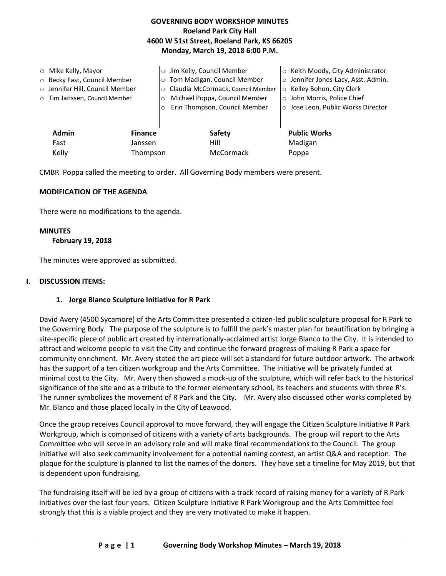# **GOVERNING BODY WORKSHOP MINUTES Roeland Park City Hall 4600 W 51st Street, Roeland Park, KS 66205 Monday, March 19, 2018 6:00 P.M.**

|       | $\circ$ Mike Kelly, Mayor<br>○ Becky Fast, Council Member |          | Jim Kelly, Council Member<br>$\circ$<br>Tom Madigan, Council Member<br>$\circ$ | Keith Moody, City Administrator<br>$\circ$<br>Jennifer Jones-Lacy, Asst. Admin.<br>$\circ$ |
|-------|-----------------------------------------------------------|----------|--------------------------------------------------------------------------------|--------------------------------------------------------------------------------------------|
|       | o Jennifer Hill, Council Member                           |          | Claudia McCormack, Council Member<br>$\circ$                                   | Kelley Bohon, City Clerk<br>$\circ$                                                        |
|       | o Tim Janssen, Council Member                             |          | Michael Poppa, Council Member<br>$\circ$                                       | o John Morris, Police Chief                                                                |
|       |                                                           | $\Omega$ | Erin Thompson, Council Member                                                  | o Jose Leon, Public Works Director                                                         |
|       | <b>Admin</b><br><b>Finance</b>                            |          | <b>Safety</b>                                                                  | <b>Public Works</b>                                                                        |
|       | Fast                                                      | Janssen  | Hill                                                                           | Madigan                                                                                    |
| Kelly |                                                           | Thompson | McCormack                                                                      | Poppa                                                                                      |

CMBR Poppa called the meeting to order. All Governing Body members were present.

### **MODIFICATION OF THE AGENDA**

There were no modifications to the agenda.

#### **MINUTES**

#### **February 19, 2018**

The minutes were approved as submitted.

#### **I. DISCUSSION ITEMS:**

### **1. Jorge Blanco Sculpture Initiative for R Park**

David Avery (4500 Sycamore) of the Arts Committee presented a citizen-led public sculpture proposal for R Park to the Governing Body. The purpose of the sculpture is to fulfill the park's master plan for beautification by bringing a site-specific piece of public art created by internationally-acclaimed artist Jorge Blanco to the City. It is intended to attract and welcome people to visit the City and continue the forward progress of making R Park a space for community enrichment. Mr. Avery stated the art piece will set a standard for future outdoor artwork. The artwork has the support of a ten citizen workgroup and the Arts Committee. The initiative will be privately funded at minimal cost to the City. Mr. Avery then showed a mock-up of the sculpture, which will refer back to the historical significance of the site and as a tribute to the former elementary school, its teachers and students with three R's. The runner symbolizes the movement of R Park and the City. Mr. Avery also discussed other works completed by Mr. Blanco and those placed locally in the City of Leawood.

Once the group receives Council approval to move forward, they will engage the Citizen Sculpture Initiative R Park Workgroup, which is comprised of citizens with a variety of arts backgrounds. The group will report to the Arts Committee who will serve in an advisory role and will make final recommendations to the Council. The group initiative will also seek community involvement for a potential naming contest, an artist Q&A and reception. The plaque for the sculpture is planned to list the names of the donors. They have set a timeline for May 2019, but that is dependent upon fundraising.

The fundraising itself will be led by a group of citizens with a track record of raising money for a variety of R Park initiatives over the last four years. Citizen Sculpture Initiative R Park Workgroup and the Arts Committee feel strongly that this is a viable project and they are very motivated to make it happen.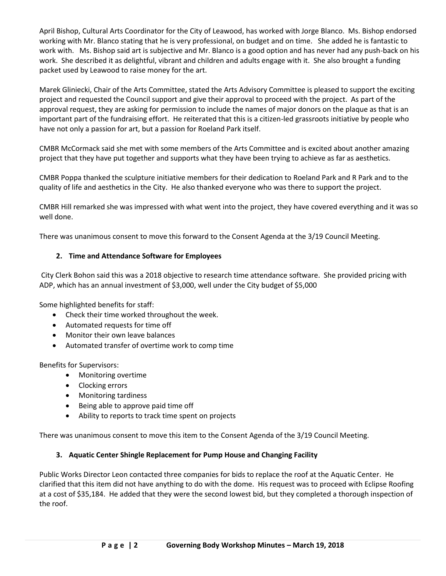April Bishop, Cultural Arts Coordinator for the City of Leawood, has worked with Jorge Blanco. Ms. Bishop endorsed working with Mr. Blanco stating that he is very professional, on budget and on time. She added he is fantastic to work with. Ms. Bishop said art is subjective and Mr. Blanco is a good option and has never had any push-back on his work. She described it as delightful, vibrant and children and adults engage with it. She also brought a funding packet used by Leawood to raise money for the art.

Marek Gliniecki, Chair of the Arts Committee, stated the Arts Advisory Committee is pleased to support the exciting project and requested the Council support and give their approval to proceed with the project. As part of the approval request, they are asking for permission to include the names of major donors on the plaque as that is an important part of the fundraising effort. He reiterated that this is a citizen-led grassroots initiative by people who have not only a passion for art, but a passion for Roeland Park itself.

CMBR McCormack said she met with some members of the Arts Committee and is excited about another amazing project that they have put together and supports what they have been trying to achieve as far as aesthetics.

CMBR Poppa thanked the sculpture initiative members for their dedication to Roeland Park and R Park and to the quality of life and aesthetics in the City. He also thanked everyone who was there to support the project.

CMBR Hill remarked she was impressed with what went into the project, they have covered everything and it was so well done.

There was unanimous consent to move this forward to the Consent Agenda at the 3/19 Council Meeting.

## **2. Time and Attendance Software for Employees**

City Clerk Bohon said this was a 2018 objective to research time attendance software. She provided pricing with ADP, which has an annual investment of \$3,000, well under the City budget of \$5,000

Some highlighted benefits for staff:

- Check their time worked throughout the week.
- Automated requests for time off
- Monitor their own leave balances
- Automated transfer of overtime work to comp time

Benefits for Supervisors:

- Monitoring overtime
- Clocking errors
- Monitoring tardiness
- Being able to approve paid time off
- Ability to reports to track time spent on projects

There was unanimous consent to move this item to the Consent Agenda of the 3/19 Council Meeting.

### **3. Aquatic Center Shingle Replacement for Pump House and Changing Facility**

Public Works Director Leon contacted three companies for bids to replace the roof at the Aquatic Center. He clarified that this item did not have anything to do with the dome. His request was to proceed with Eclipse Roofing at a cost of \$35,184. He added that they were the second lowest bid, but they completed a thorough inspection of the roof.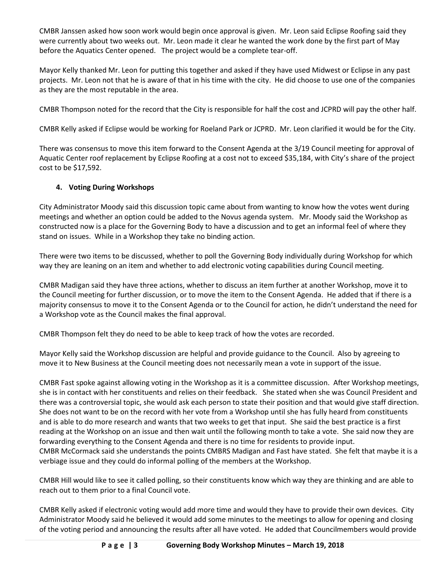CMBR Janssen asked how soon work would begin once approval is given. Mr. Leon said Eclipse Roofing said they were currently about two weeks out. Mr. Leon made it clear he wanted the work done by the first part of May before the Aquatics Center opened. The project would be a complete tear-off.

Mayor Kelly thanked Mr. Leon for putting this together and asked if they have used Midwest or Eclipse in any past projects. Mr. Leon not that he is aware of that in his time with the city. He did choose to use one of the companies as they are the most reputable in the area.

CMBR Thompson noted for the record that the City is responsible for half the cost and JCPRD will pay the other half.

CMBR Kelly asked if Eclipse would be working for Roeland Park or JCPRD. Mr. Leon clarified it would be for the City.

There was consensus to move this item forward to the Consent Agenda at the 3/19 Council meeting for approval of Aquatic Center roof replacement by Eclipse Roofing at a cost not to exceed \$35,184, with City's share of the project cost to be \$17,592.

# **4. Voting During Workshops**

City Administrator Moody said this discussion topic came about from wanting to know how the votes went during meetings and whether an option could be added to the Novus agenda system. Mr. Moody said the Workshop as constructed now is a place for the Governing Body to have a discussion and to get an informal feel of where they stand on issues. While in a Workshop they take no binding action.

There were two items to be discussed, whether to poll the Governing Body individually during Workshop for which way they are leaning on an item and whether to add electronic voting capabilities during Council meeting.

CMBR Madigan said they have three actions, whether to discuss an item further at another Workshop, move it to the Council meeting for further discussion, or to move the item to the Consent Agenda. He added that if there is a majority consensus to move it to the Consent Agenda or to the Council for action, he didn't understand the need for a Workshop vote as the Council makes the final approval.

CMBR Thompson felt they do need to be able to keep track of how the votes are recorded.

Mayor Kelly said the Workshop discussion are helpful and provide guidance to the Council. Also by agreeing to move it to New Business at the Council meeting does not necessarily mean a vote in support of the issue.

CMBR Fast spoke against allowing voting in the Workshop as it is a committee discussion. After Workshop meetings, she is in contact with her constituents and relies on their feedback. She stated when she was Council President and there was a controversial topic, she would ask each person to state their position and that would give staff direction. She does not want to be on the record with her vote from a Workshop until she has fully heard from constituents and is able to do more research and wants that two weeks to get that input. She said the best practice is a first reading at the Workshop on an issue and then wait until the following month to take a vote. She said now they are forwarding everything to the Consent Agenda and there is no time for residents to provide input. CMBR McCormack said she understands the points CMBRS Madigan and Fast have stated. She felt that maybe it is a verbiage issue and they could do informal polling of the members at the Workshop.

CMBR Hill would like to see it called polling, so their constituents know which way they are thinking and are able to reach out to them prior to a final Council vote.

CMBR Kelly asked if electronic voting would add more time and would they have to provide their own devices. City Administrator Moody said he believed it would add some minutes to the meetings to allow for opening and closing of the voting period and announcing the results after all have voted. He added that Councilmembers would provide